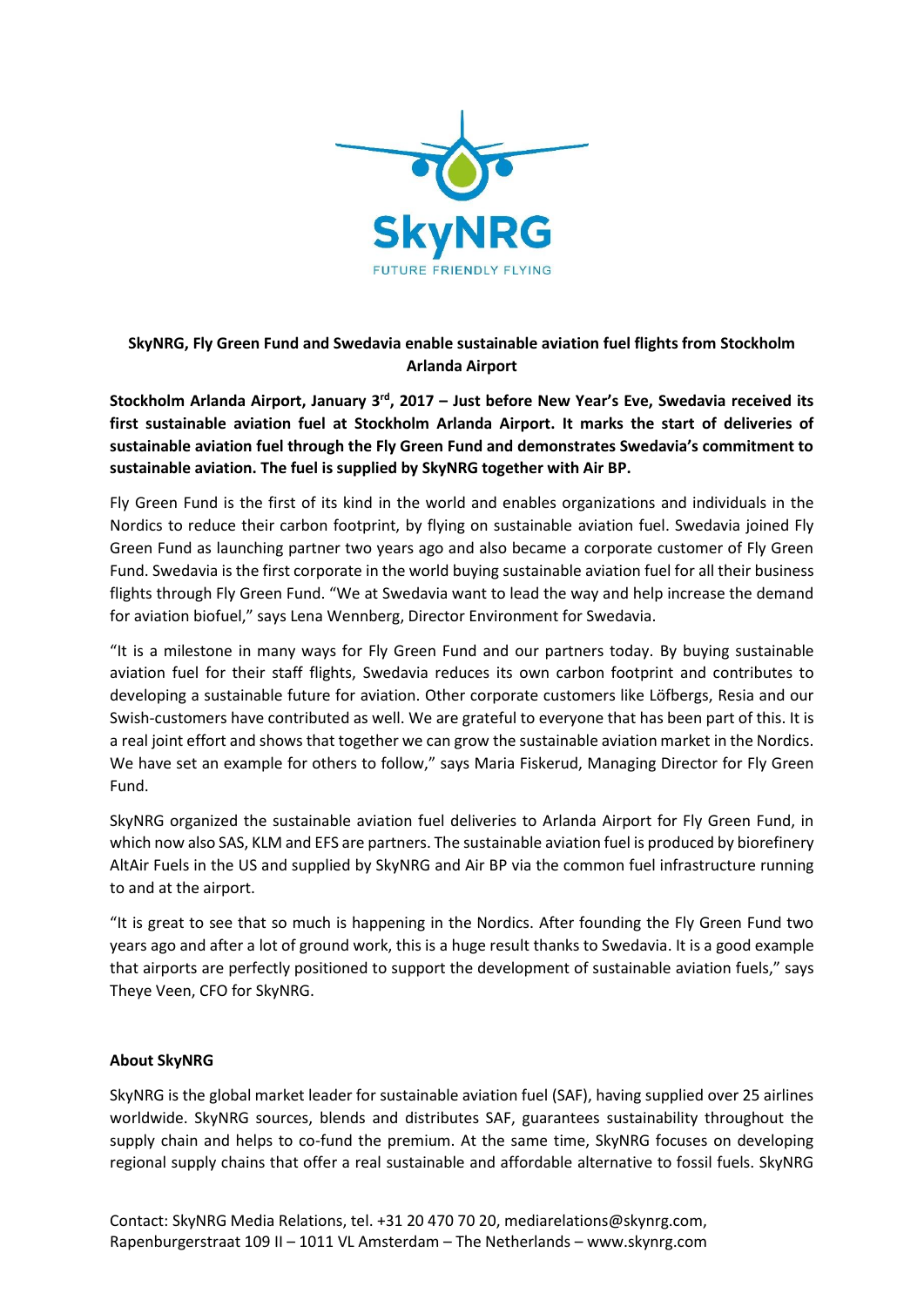

## **SkyNRG, Fly Green Fund and Swedavia enable sustainable aviation fuel flights from Stockholm Arlanda Airport**

**Stockholm Arlanda Airport, January 3rd, 2017 – Just before New Year's Eve, Swedavia received its first sustainable aviation fuel at Stockholm Arlanda Airport. It marks the start of deliveries of sustainable aviation fuel through the Fly Green Fund and demonstrates Swedavia's commitment to sustainable aviation. The fuel is supplied by SkyNRG together with Air BP.**

Fly Green Fund is the first of its kind in the world and enables organizations and individuals in the Nordics to reduce their carbon footprint, by flying on sustainable aviation fuel. Swedavia joined Fly Green Fund as launching partner two years ago and also became a corporate customer of Fly Green Fund. Swedavia is the first corporate in the world buying sustainable aviation fuel for all their business flights through Fly Green Fund. "We at Swedavia want to lead the way and help increase the demand for aviation biofuel," says Lena Wennberg, Director Environment for Swedavia.

"It is a milestone in many ways for Fly Green Fund and our partners today. By buying sustainable aviation fuel for their staff flights, Swedavia reduces its own carbon footprint and contributes to developing a sustainable future for aviation. Other corporate customers like Löfbergs, Resia and our Swish-customers have contributed as well. We are grateful to everyone that has been part of this. It is a real joint effort and shows that together we can grow the sustainable aviation market in the Nordics. We have set an example for others to follow," says Maria Fiskerud, Managing Director for Fly Green Fund.

SkyNRG organized the sustainable aviation fuel deliveries to Arlanda Airport for Fly Green Fund, in which now also SAS, KLM and EFS are partners. The sustainable aviation fuel is produced by biorefinery AltAir Fuels in the US and supplied by SkyNRG and Air BP via the common fuel infrastructure running to and at the airport.

"It is great to see that so much is happening in the Nordics. After founding the Fly Green Fund two years ago and after a lot of ground work, this is a huge result thanks to Swedavia. It is a good example that airports are perfectly positioned to support the development of sustainable aviation fuels," says Theye Veen, CFO for SkyNRG.

## **About SkyNRG**

SkyNRG is the global market leader for sustainable aviation fuel (SAF), having supplied over 25 airlines worldwide. SkyNRG sources, blends and distributes SAF, guarantees sustainability throughout the supply chain and helps to co-fund the premium. At the same time, SkyNRG focuses on developing regional supply chains that offer a real sustainable and affordable alternative to fossil fuels. SkyNRG